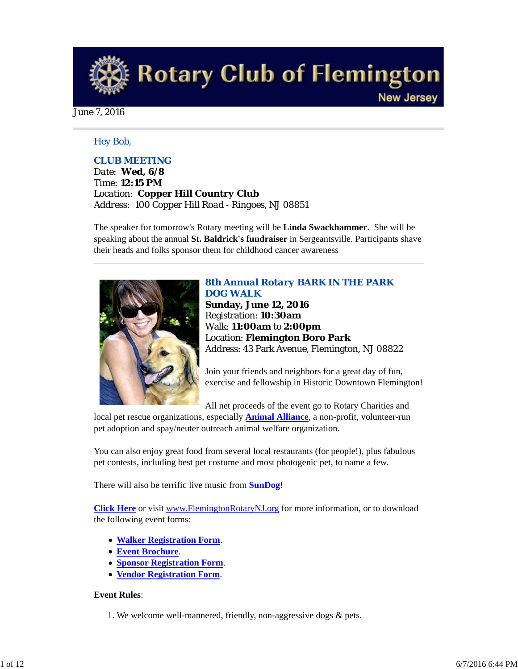**Rotary Club of Flemington New Jersey** 

June 7, 2016

## *Hey Bob,*

## *CLUB MEETING*

*Date: Wed, 6/8 Time: 12:15 PM Location: Copper Hill Country Club Address: 100 Copper Hill Road - Ringoes, NJ 08851*

The speaker for tomorrow's Rotary meeting will be **Linda Swackhammer**. She will be speaking about the annual **St. Baldrick's fundraiser** in Sergeantsville. Participants shave their heads and folks sponsor them for childhood cancer awareness



## *8th Annual Rotary BARK IN THE PARK DOG WALK*

**Sunday, June 12, 2016** Registration: **10:30am** Walk: **11:00am** to **2:00pm** Location: **Flemington Boro Park** Address: 43 Park Avenue, Flemington, NJ 08822

Join your friends and neighbors for a great day of fun, exercise and fellowship in Historic Downtown Flemington!

All net proceeds of the event go to Rotary Charities and

local pet rescue organizations, especially **Animal Alliance**, a non-profit, volunteer-run pet adoption and spay/neuter outreach animal welfare organization.

You can also enjoy great food from several local restaurants (for people!), plus fabulous pet contests, including best pet costume and most photogenic pet, to name a few.

There will also be terrific live music from **SunDog**!

**Click Here** or visit www.FlemingtonRotaryNJ.org for more information, or to download the following event forms:

- **Walker Registration Form**.
- **Event Brochure**.
- **Sponsor Registration Form**.
- **Vendor Registration Form**.

### **Event Rules**:

1. We welcome well-mannered, friendly, non-aggressive dogs & pets.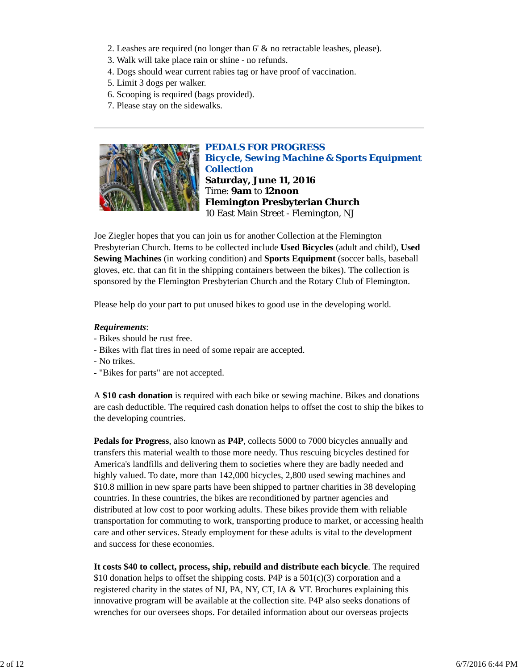- 2. Leashes are required (no longer than 6' & no retractable leashes, please).
- 3. Walk will take place rain or shine no refunds.
- 4. Dogs should wear current rabies tag or have proof of vaccination.
- 5. Limit 3 dogs per walker.
- 6. Scooping is required (bags provided).
- 7. Please stay on the sidewalks.



*PEDALS FOR PROGRESS Bicycle, Sewing Machine & Sports Equipment Collection* **Saturday, June 11, 2016** Time: **9am** to **12noon Flemington Presbyterian Church** 10 East Main Street - Flemington, NJ

Joe Ziegler hopes that you can join us for another Collection at the Flemington Presbyterian Church. Items to be collected include **Used Bicycles** (adult and child), **Used Sewing Machines** (in working condition) and **Sports Equipment** (soccer balls, baseball gloves, etc. that can fit in the shipping containers between the bikes). The collection is sponsored by the Flemington Presbyterian Church and the Rotary Club of Flemington.

Please help do your part to put unused bikes to good use in the developing world.

## *Requirements*:

- Bikes should be rust free.
- Bikes with flat tires in need of some repair are accepted.
- No trikes.
- "Bikes for parts" are not accepted.

A **\$10 cash donation** is required with each bike or sewing machine. Bikes and donations are cash deductible. The required cash donation helps to offset the cost to ship the bikes to the developing countries.

**Pedals for Progress**, also known as **P4P**, collects 5000 to 7000 bicycles annually and transfers this material wealth to those more needy. Thus rescuing bicycles destined for America's landfills and delivering them to societies where they are badly needed and highly valued. To date, more than 142,000 bicycles, 2,800 used sewing machines and \$10.8 million in new spare parts have been shipped to partner charities in 38 developing countries. In these countries, the bikes are reconditioned by partner agencies and distributed at low cost to poor working adults. These bikes provide them with reliable transportation for commuting to work, transporting produce to market, or accessing health care and other services. Steady employment for these adults is vital to the development and success for these economies.

**It costs \$40 to collect, process, ship, rebuild and distribute each bicycle**. The required \$10 donation helps to offset the shipping costs. P4P is a  $501(c)(3)$  corporation and a registered charity in the states of NJ, PA, NY, CT, IA & VT. Brochures explaining this innovative program will be available at the collection site. P4P also seeks donations of wrenches for our oversees shops. For detailed information about our overseas projects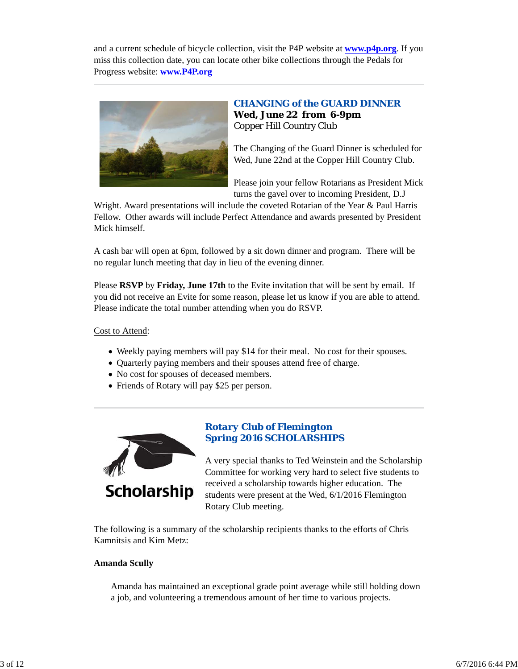and a current schedule of bicycle collection, visit the P4P website at **www.p4p.org**. If you miss this collection date, you can locate other bike collections through the Pedals for Progress website: **www.P4P.org**



## *CHANGING of the GUARD DINNER* **Wed, June 22 from 6-9pm** Copper Hill Country Club

The Changing of the Guard Dinner is scheduled for Wed, June 22nd at the Copper Hill Country Club.

Please join your fellow Rotarians as President Mick turns the gavel over to incoming President, D.J

Wright. Award presentations will include the coveted Rotarian of the Year & Paul Harris Fellow. Other awards will include Perfect Attendance and awards presented by President Mick himself.

A cash bar will open at 6pm, followed by a sit down dinner and program. There will be no regular lunch meeting that day in lieu of the evening dinner.

Please **RSVP** by **Friday, June 17th** to the Evite invitation that will be sent by email. If you did not receive an Evite for some reason, please let us know if you are able to attend. Please indicate the total number attending when you do RSVP.

Cost to Attend:

- Weekly paying members will pay \$14 for their meal. No cost for their spouses.
- Quarterly paying members and their spouses attend free of charge.
- No cost for spouses of deceased members.
- Friends of Rotary will pay \$25 per person.



## *Rotary Club of Flemington Spring 2016 SCHOLARSHIPS*

A very special thanks to Ted Weinstein and the Scholarship Committee for working very hard to select five students to received a scholarship towards higher education. The students were present at the Wed, 6/1/2016 Flemington Rotary Club meeting.

The following is a summary of the scholarship recipients thanks to the efforts of Chris Kamnitsis and Kim Metz:

## **Amanda Scully**

Amanda has maintained an exceptional grade point average while still holding down a job, and volunteering a tremendous amount of her time to various projects.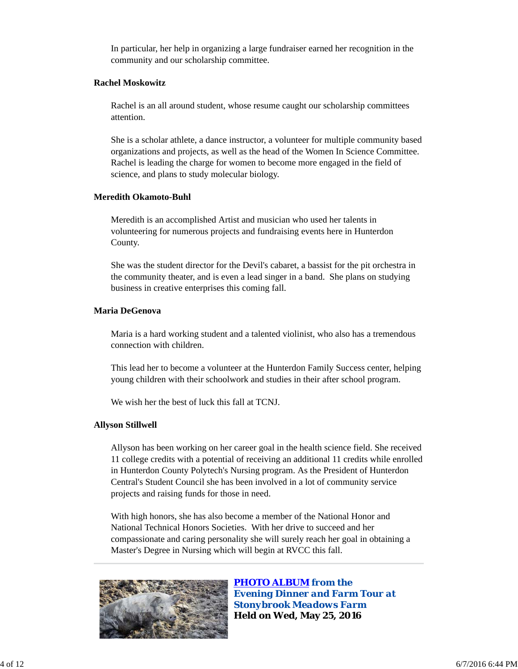In particular, her help in organizing a large fundraiser earned her recognition in the community and our scholarship committee.

### **Rachel Moskowitz**

Rachel is an all around student, whose resume caught our scholarship committees attention.

She is a scholar athlete, a dance instructor, a volunteer for multiple community based organizations and projects, as well as the head of the Women In Science Committee. Rachel is leading the charge for women to become more engaged in the field of science, and plans to study molecular biology.

### **Meredith Okamoto-Buhl**

Meredith is an accomplished Artist and musician who used her talents in volunteering for numerous projects and fundraising events here in Hunterdon County.

She was the student director for the Devil's cabaret, a bassist for the pit orchestra in the community theater, and is even a lead singer in a band. She plans on studying business in creative enterprises this coming fall.

## **Maria DeGenova**

Maria is a hard working student and a talented violinist, who also has a tremendous connection with children.

This lead her to become a volunteer at the Hunterdon Family Success center, helping young children with their schoolwork and studies in their after school program.

We wish her the best of luck this fall at TCNJ.

## **Allyson Stillwell**

Allyson has been working on her career goal in the health science field. She received 11 college credits with a potential of receiving an additional 11 credits while enrolled in Hunterdon County Polytech's Nursing program. As the President of Hunterdon Central's Student Council she has been involved in a lot of community service projects and raising funds for those in need.

With high honors, she has also become a member of the National Honor and National Technical Honors Societies. With her drive to succeed and her compassionate and caring personality she will surely reach her goal in obtaining a Master's Degree in Nursing which will begin at RVCC this fall.



*PHOTO ALBUM from the Evening Dinner and Farm Tour at Stonybrook Meadows Farm* **Held on Wed, May 25, 2016**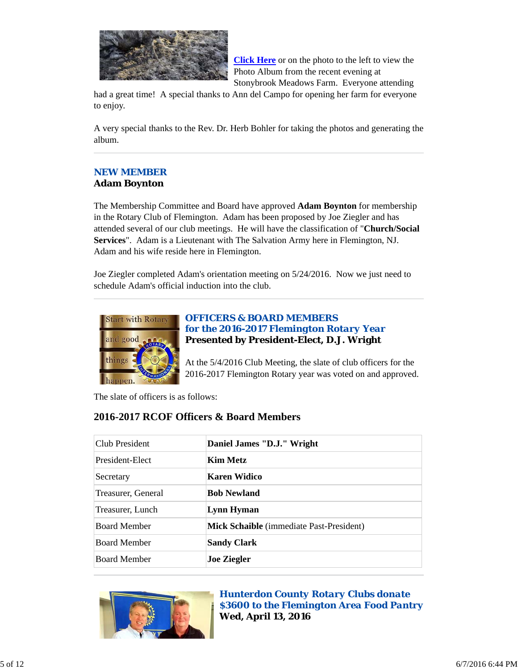

**Click Here** or on the photo to the left to view the Photo Album from the recent evening at Stonybrook Meadows Farm. Everyone attending

had a great time! A special thanks to Ann del Campo for opening her farm for everyone to enjoy.

A very special thanks to the Rev. Dr. Herb Bohler for taking the photos and generating the album.

### *NEW MEMBER* **Adam Boynton**

The Membership Committee and Board have approved **Adam Boynton** for membership in the Rotary Club of Flemington. Adam has been proposed by Joe Ziegler and has attended several of our club meetings. He will have the classification of "**Church/Social Services**". Adam is a Lieutenant with The Salvation Army here in Flemington, NJ. Adam and his wife reside here in Flemington.

Joe Ziegler completed Adam's orientation meeting on 5/24/2016. Now we just need to schedule Adam's official induction into the club.



## *OFFICERS & BOARD MEMBERS for the 2016-2017 Flemington Rotary Year* **Presented by President-Elect, D.J. Wright**

At the 5/4/2016 Club Meeting, the slate of club officers for the 2016-2017 Flemington Rotary year was voted on and approved.

The slate of officers is as follows:

# **2016-2017 RCOF Officers & Board Members**

| Club President      | Daniel James "D.J." Wright               |
|---------------------|------------------------------------------|
| President-Elect     | <b>Kim Metz</b>                          |
| Secretary           | Karen Widico                             |
| Treasurer, General  | <b>Bob Newland</b>                       |
| Treasurer, Lunch    | <b>Lynn Hyman</b>                        |
| <b>Board Member</b> | Mick Schaible (immediate Past-President) |
| <b>Board Member</b> | <b>Sandy Clark</b>                       |
| <b>Board Member</b> | <b>Joe Ziegler</b>                       |



*Hunterdon County Rotary Clubs donate \$3600 to the Flemington Area Food Pantry* **Wed, April 13, 2016**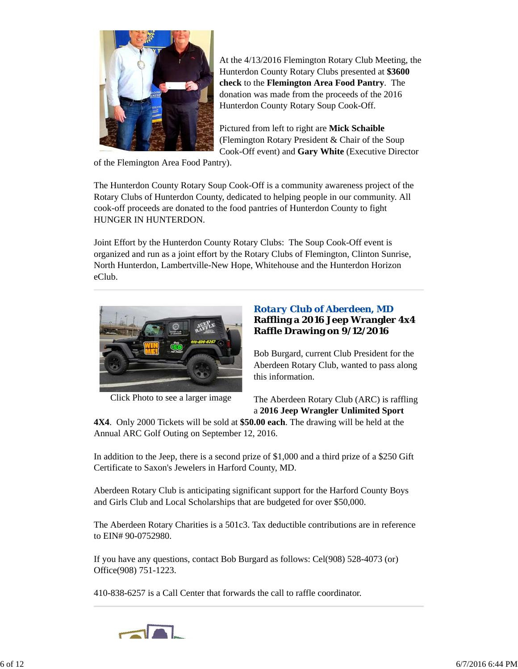

At the 4/13/2016 Flemington Rotary Club Meeting, the Hunterdon County Rotary Clubs presented at **\$3600 check** to the **Flemington Area Food Pantry**. The donation was made from the proceeds of the 2016 Hunterdon County Rotary Soup Cook-Off.

Pictured from left to right are **Mick Schaible** (Flemington Rotary President & Chair of the Soup Cook-Off event) and **Gary White** (Executive Director

of the Flemington Area Food Pantry).

The Hunterdon County Rotary Soup Cook-Off is a community awareness project of the Rotary Clubs of Hunterdon County, dedicated to helping people in our community. All cook-off proceeds are donated to the food pantries of Hunterdon County to fight HUNGER IN HUNTERDON.

Joint Effort by the Hunterdon County Rotary Clubs: The Soup Cook-Off event is organized and run as a joint effort by the Rotary Clubs of Flemington, Clinton Sunrise, North Hunterdon, Lambertville-New Hope, Whitehouse and the Hunterdon Horizon eClub.



Click Photo to see a larger image

## *Rotary Club of Aberdeen, MD* **Raffling a 2016 Jeep Wrangler 4x4 Raffle Drawing on 9/12/2016**

Bob Burgard, current Club President for the Aberdeen Rotary Club, wanted to pass along this information.

The Aberdeen Rotary Club (ARC) is raffling a **2016 Jeep Wrangler Unlimited Sport**

**4X4**. Only 2000 Tickets will be sold at **\$50.00 each**. The drawing will be held at the Annual ARC Golf Outing on September 12, 2016.

In addition to the Jeep, there is a second prize of \$1,000 and a third prize of a \$250 Gift Certificate to Saxon's Jewelers in Harford County, MD.

Aberdeen Rotary Club is anticipating significant support for the Harford County Boys and Girls Club and Local Scholarships that are budgeted for over \$50,000.

The Aberdeen Rotary Charities is a 501c3. Tax deductible contributions are in reference to EIN# 90-0752980.

If you have any questions, contact Bob Burgard as follows: Cel(908) 528-4073 (or) Office(908) 751-1223.

410-838-6257 is a Call Center that forwards the call to raffle coordinator.

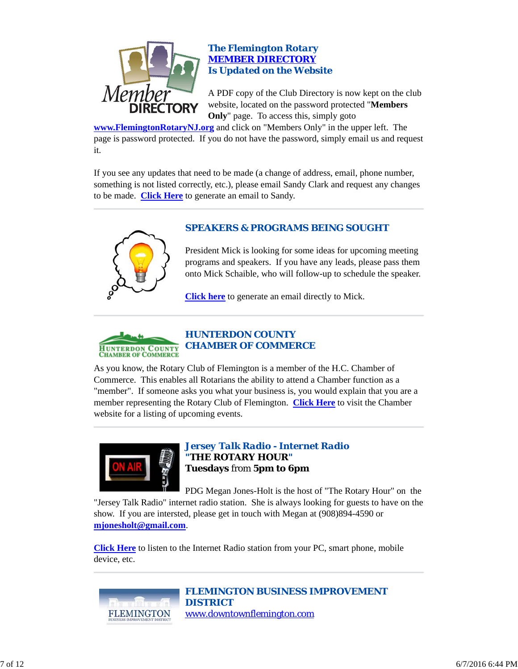

## *The Flemington Rotary MEMBER DIRECTORY Is Updated on the Website*

A PDF copy of the Club Directory is now kept on the club website, located on the password protected "**Members Only**" page. To access this, simply goto

**www.FlemingtonRotaryNJ.org** and click on "Members Only" in the upper left. The page is password protected. If you do not have the password, simply email us and request it.

If you see any updates that need to be made (a change of address, email, phone number, something is not listed correctly, etc.), please email Sandy Clark and request any changes to be made. **Click Here** to generate an email to Sandy.



# *SPEAKERS & PROGRAMS BEING SOUGHT*

President Mick is looking for some ideas for upcoming meeting programs and speakers. If you have any leads, please pass them onto Mick Schaible, who will follow-up to schedule the speaker.

**Click here** to generate an email directly to Mick.



As you know, the Rotary Club of Flemington is a member of the H.C. Chamber of Commerce. This enables all Rotarians the ability to attend a Chamber function as a "member". If someone asks you what your business is, you would explain that you are a member representing the Rotary Club of Flemington. **Click Here** to visit the Chamber website for a listing of upcoming events.



*Jersey Talk Radio - Internet Radio "THE ROTARY HOUR"* **Tuesdays** from **5pm to 6pm**

PDG Megan Jones-Holt is the host of "The Rotary Hour" on the "Jersey Talk Radio" internet radio station. She is always looking for guests to have on the show. If you are intersted, please get in touch with Megan at (908)894-4590 or **mjonesholt@gmail.com**.

**Click Here** to listen to the Internet Radio station from your PC, smart phone, mobile device, etc.



*FLEMINGTON BUSINESS IMPROVEMENT DISTRICT* www.downtownflemington.com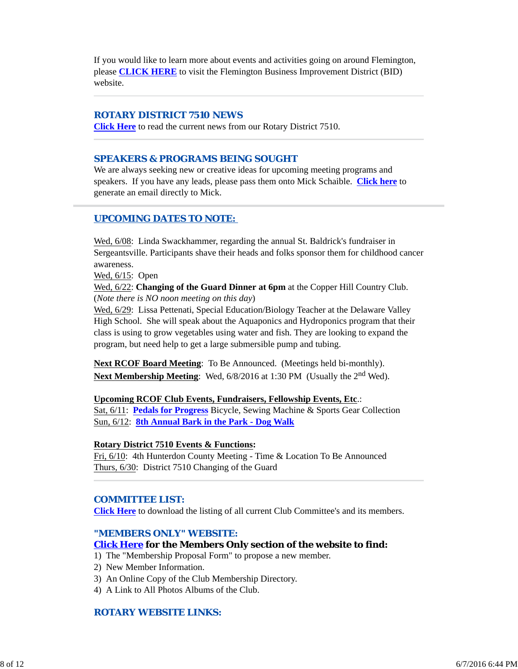If you would like to learn more about events and activities going on around Flemington, please **CLICK HERE** to visit the Flemington Business Improvement District (BID) website.

## *ROTARY DISTRICT 7510 NEWS*

**Click Here** to read the current news from our Rotary District 7510.

### *SPEAKERS & PROGRAMS BEING SOUGHT*

We are always seeking new or creative ideas for upcoming meeting programs and speakers. If you have any leads, please pass them onto Mick Schaible. **Click here** to generate an email directly to Mick.

## *UPCOMING DATES TO NOTE:*

Wed,  $6/08$ : Linda Swackhammer, regarding the annual St. Baldrick's fundraiser in Sergeantsville. Participants shave their heads and folks sponsor them for childhood cancer awareness.

Wed, 6/15: Open

Wed, 6/22: **Changing of the Guard Dinner at 6pm** at the Copper Hill Country Club. (*Note there is NO noon meeting on this day*)

Wed, 6/29: Lissa Pettenati, Special Education/Biology Teacher at the Delaware Valley High School. She will speak about the Aquaponics and Hydroponics program that their class is using to grow vegetables using water and fish. They are looking to expand the program, but need help to get a large submersible pump and tubing.

**Next RCOF Board Meeting**: To Be Announced. (Meetings held bi-monthly). **Next Membership Meeting**: Wed, 6/8/2016 at 1:30 PM (Usually the 2<sup>nd</sup> Wed).

#### **Upcoming RCOF Club Events, Fundraisers, Fellowship Events, Etc**.:

Sat, 6/11: **Pedals for Progress** Bicycle, Sewing Machine & Sports Gear Collection Sun, 6/12: **8th Annual Bark in the Park - Dog Walk**

#### **Rotary District 7510 Events & Functions:**

Fri, 6/10: 4th Hunterdon County Meeting - Time & Location To Be Announced Thurs, 6/30: District 7510 Changing of the Guard

## *COMMITTEE LIST:*

**Click Here** to download the listing of all current Club Committee's and its members.

#### *"MEMBERS ONLY" WEBSITE:*

#### **Click Here for the Members Only section of the website to find:**

- 1) The "Membership Proposal Form" to propose a new member.
- 2) New Member Information.
- 3) An Online Copy of the Club Membership Directory.
- 4) A Link to All Photos Albums of the Club.

## *ROTARY WEBSITE LINKS:*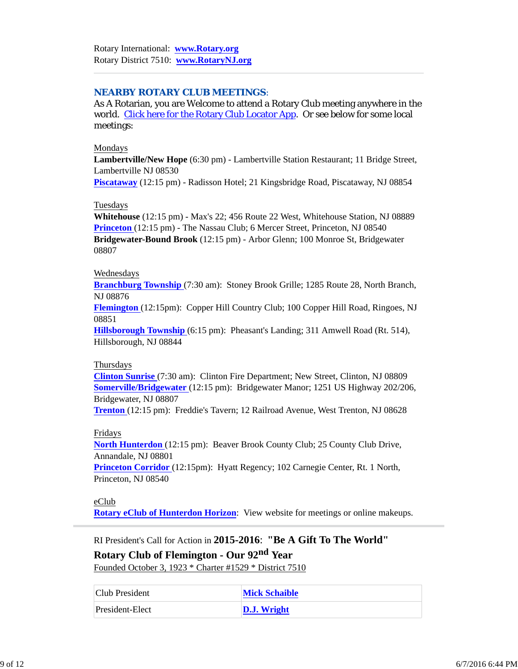## *NEARBY ROTARY CLUB MEETINGS:*

As A Rotarian, you are Welcome to attend a Rotary Club meeting anywhere in the world. Click here for the Rotary Club Locator App. Or see below for some local meetings:

### Mondays

**Lambertville/New Hope** (6:30 pm) - Lambertville Station Restaurant; 11 Bridge Street, Lambertville NJ 08530

**Piscataway** (12:15 pm) - Radisson Hotel; 21 Kingsbridge Road, Piscataway, NJ 08854

## Tuesdays

**Whitehouse** (12:15 pm) - Max's 22; 456 Route 22 West, Whitehouse Station, NJ 08889 **Princeton** (12:15 pm) - The Nassau Club; 6 Mercer Street, Princeton, NJ 08540 **Bridgewater-Bound Brook** (12:15 pm) - Arbor Glenn; 100 Monroe St, Bridgewater 08807

### Wednesdays

**Branchburg Township** (7:30 am): Stoney Brook Grille; 1285 Route 28, North Branch, NJ 08876

**Flemington** (12:15pm): Copper Hill Country Club; 100 Copper Hill Road, Ringoes, NJ 08851

**Hillsborough Township** (6:15 pm): Pheasant's Landing; 311 Amwell Road (Rt. 514), Hillsborough, NJ 08844

## Thursdays

**Clinton Sunrise** (7:30 am): Clinton Fire Department; New Street, Clinton, NJ 08809 **Somerville/Bridgewater** (12:15 pm): Bridgewater Manor; 1251 US Highway 202/206, Bridgewater, NJ 08807

**Trenton** (12:15 pm): Freddie's Tavern; 12 Railroad Avenue, West Trenton, NJ 08628

## Fridays

**North Hunterdon** (12:15 pm): Beaver Brook County Club; 25 County Club Drive, Annandale, NJ 08801

**Princeton Corridor** (12:15pm): Hyatt Regency; 102 Carnegie Center, Rt. 1 North, Princeton, NJ 08540

## eClub

**Rotary eClub of Hunterdon Horizon**: View website for meetings or online makeups.

RI President's Call for Action in **2015-2016**: **"Be A Gift To The World"**

**Rotary Club of Flemington - Our 92nd Year** Founded October 3, 1923 \* Charter #1529 \* District 7510

| Club President | <b>Mick Schaible</b> |
|----------------|----------------------|

| <b>ICIUD FIESIUEII</b> | писк оснание |
|------------------------|--------------|
| President-Elect        | D.J. Wright  |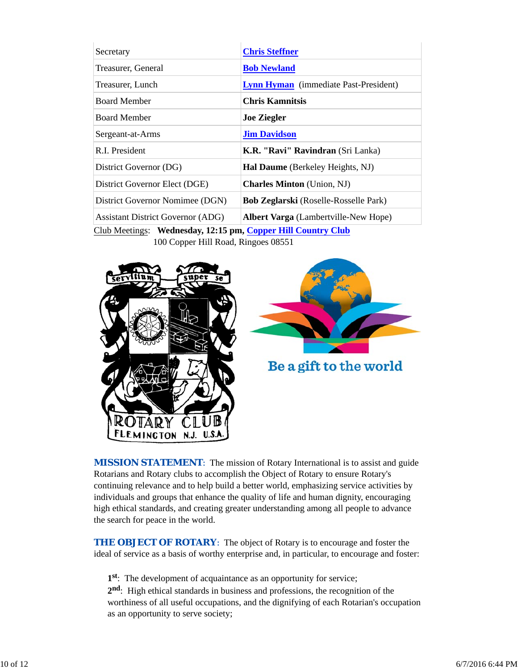| Secretary                                | <b>Chris Steffner</b>                        |  |  |
|------------------------------------------|----------------------------------------------|--|--|
| Treasurer, General                       | <b>Bob Newland</b>                           |  |  |
| Treasurer, Lunch                         | <b>Lynn Hyman</b> (immediate Past-President) |  |  |
| <b>Board Member</b>                      | <b>Chris Kamnitsis</b>                       |  |  |
| <b>Board Member</b>                      | <b>Joe Ziegler</b>                           |  |  |
| Sergeant-at-Arms                         | <b>Jim Davidson</b>                          |  |  |
| R.I. President                           | K.R. "Ravi" Ravindran (Sri Lanka)            |  |  |
| District Governor (DG)                   | <b>Hal Daume</b> (Berkeley Heights, NJ)      |  |  |
| District Governor Elect (DGE)            | <b>Charles Minton</b> (Union, NJ)            |  |  |
| District Governor Nomimee (DGN)          | <b>Bob Zeglarski</b> (Roselle-Rosselle Park) |  |  |
| <b>Assistant District Governor (ADG)</b> | <b>Albert Varga</b> (Lambertville-New Hope)  |  |  |

Club Meetings: **Wednesday, 12:15 pm, Copper Hill Country Club** 100 Copper Hill Road, Ringoes 08551





Be a gift to the world

**MISSION STATEMENT:** The mission of Rotary International is to assist and guide Rotarians and Rotary clubs to accomplish the Object of Rotary to ensure Rotary's continuing relevance and to help build a better world, emphasizing service activities by individuals and groups that enhance the quality of life and human dignity, encouraging high ethical standards, and creating greater understanding among all people to advance the search for peace in the world.

**THE OBJECT OF ROTARY:** The object of Rotary is to encourage and foster the ideal of service as a basis of worthy enterprise and, in particular, to encourage and foster:

**1st**: The development of acquaintance as an opportunity for service;

**2nd**: High ethical standards in business and professions, the recognition of the worthiness of all useful occupations, and the dignifying of each Rotarian's occupation as an opportunity to serve society;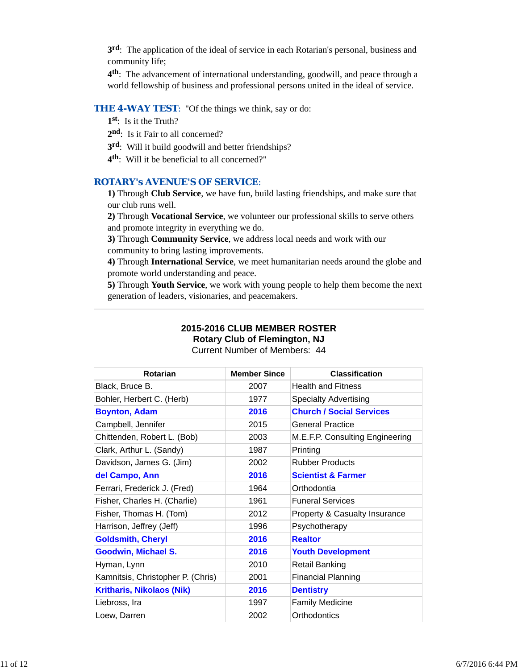**3rd**: The application of the ideal of service in each Rotarian's personal, business and community life;

**4th**: The advancement of international understanding, goodwill, and peace through a world fellowship of business and professional persons united in the ideal of service.

## **THE 4-WAY TEST:** "Of the things we think, say or do:

- **1st**: Is it the Truth?
- 2<sup>nd</sup>: Is it Fair to all concerned?
- **3rd**: Will it build goodwill and better friendships?
- **4th**: Will it be beneficial to all concerned?"

## *ROTARY's AVENUE'S OF SERVICE*:

**1)** Through **Club Service**, we have fun, build lasting friendships, and make sure that our club runs well.

**2)** Through **Vocational Service**, we volunteer our professional skills to serve others and promote integrity in everything we do.

**3)** Through **Community Service**, we address local needs and work with our community to bring lasting improvements.

**4)** Through **International Service**, we meet humanitarian needs around the globe and promote world understanding and peace.

**5)** Through **Youth Service**, we work with young people to help them become the next generation of leaders, visionaries, and peacemakers.

## **2015-2016 CLUB MEMBER ROSTER Rotary Club of Flemington, NJ**

Current Number of Members: 44

| <b>Rotarian</b>                   | <b>Member Since</b> | <b>Classification</b>                    |
|-----------------------------------|---------------------|------------------------------------------|
| Black, Bruce B.                   | 2007                | <b>Health and Fitness</b>                |
| Bohler, Herbert C. (Herb)         | 1977                | <b>Specialty Advertising</b>             |
| <b>Boynton, Adam</b>              | 2016                | <b>Church / Social Services</b>          |
| Campbell, Jennifer                | 2015                | <b>General Practice</b>                  |
| Chittenden, Robert L. (Bob)       | 2003                | M.E.F.P. Consulting Engineering          |
| Clark, Arthur L. (Sandy)          | 1987                | Printing                                 |
| Davidson, James G. (Jim)          | 2002                | <b>Rubber Products</b>                   |
| del Campo, Ann                    | 2016                | <b>Scientist &amp; Farmer</b>            |
| Ferrari, Frederick J. (Fred)      | 1964                | Orthodontia                              |
| Fisher, Charles H. (Charlie)      | 1961                | <b>Funeral Services</b>                  |
| Fisher, Thomas H. (Tom)           | 2012                | <b>Property &amp; Casualty Insurance</b> |
| Harrison, Jeffrey (Jeff)          | 1996                | Psychotherapy                            |
| <b>Goldsmith, Cheryl</b>          | 2016                | <b>Realtor</b>                           |
| <b>Goodwin, Michael S.</b>        | 2016                | <b>Youth Development</b>                 |
| Hyman, Lynn                       | 2010                | Retail Banking                           |
| Kamnitsis, Christopher P. (Chris) | 2001                | <b>Financial Planning</b>                |
| <b>Kritharis, Nikolaos (Nik)</b>  | 2016                | <b>Dentistry</b>                         |
| Liebross, Ira                     | 1997                | <b>Family Medicine</b>                   |
| Loew, Darren                      | 2002                | Orthodontics                             |